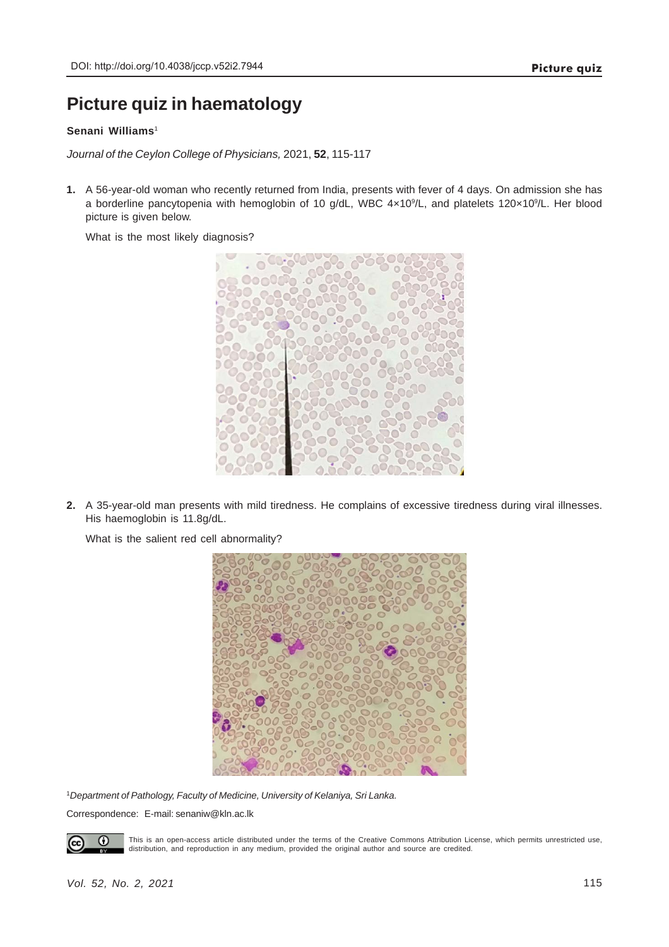## **Picture quiz in haematology**

## **Senani Williams**<sup>1</sup>

*Journal of the Ceylon College of Physicians,* 2021, **52**, 115-117

**1.** A 56-year-old woman who recently returned from India, presents with fever of 4 days. On admission she has a borderline pancytopenia with hemoglobin of 10 g/dL, WBC 4x10<sup>9</sup>/L, and platelets 120x10<sup>9</sup>/L. Her blood picture is given below.

What is the most likely diagnosis?



**2.** A 35-year-old man presents with mild tiredness. He complains of excessive tiredness during viral illnesses. His haemoglobin is 11.8g/dL.

What is the salient red cell abnormality?



1 *Department of Pathology, Faculty of Medicine, University of Kelaniya, Sri Lanka.*

Correspondence: E-mail: senaniw@kln.ac.lk



This is an open-access article distributed under the terms of the Creative Commons Attribution License, which permits unrestricted use, distribution, and reproduction in any medium, provided the original author and source are credited.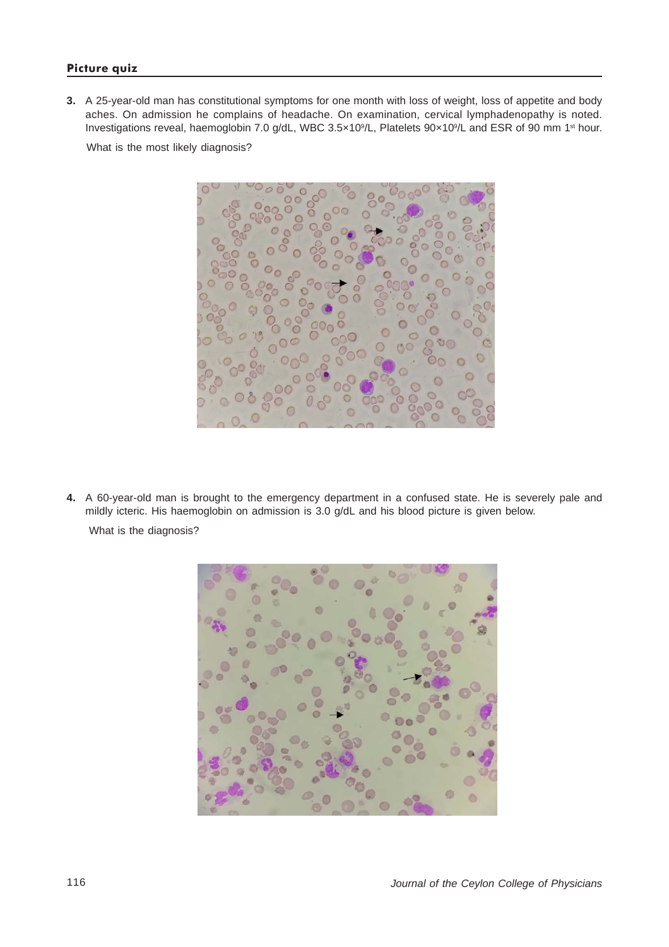## **Picture quiz**

**3.** A 25-year-old man has constitutional symptoms for one month with loss of weight, loss of appetite and body aches. On admission he complains of headache. On examination, cervical lymphadenopathy is noted. Investigations reveal, haemoglobin 7.0 g/dL, WBC 3.5x10<sup>9</sup>/L, Platelets 90x10<sup>9</sup>/L and ESR of 90 mm 1<sup>st</sup> hour.

What is the most likely diagnosis?



**4.** A 60-year-old man is brought to the emergency department in a confused state. He is severely pale and mildly icteric. His haemoglobin on admission is 3.0 g/dL and his blood picture is given below.

What is the diagnosis?